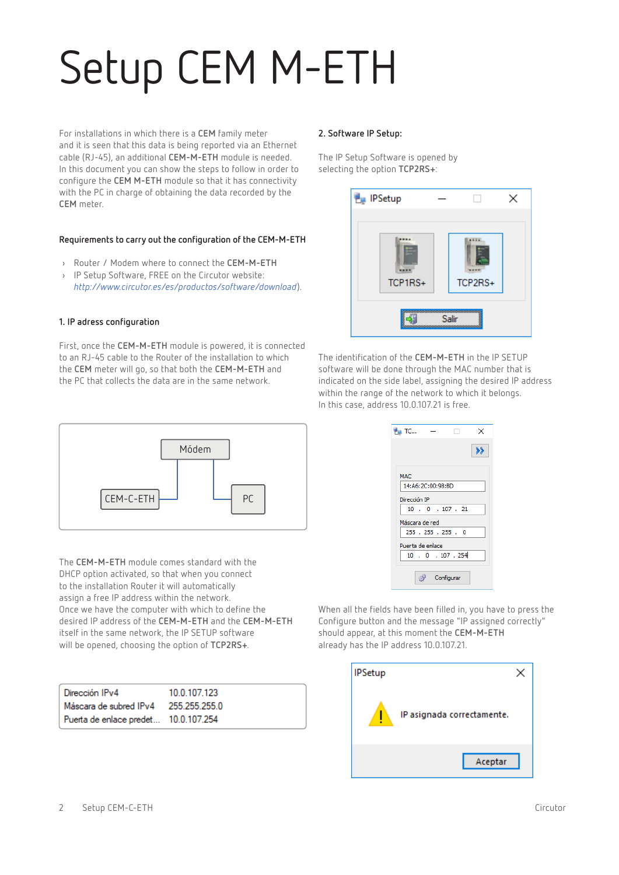# Setup CEM M-ETH

For installations in which there is a **CEM** family meter and it is seen that this data is being reported via an Ethernet cable (RJ-45), an additional **CEM-M-ETH** module is needed. In this document you can show the steps to follow in order to configure the **CEM M-ETH** module so that it has connectivity with the PC in charge of obtaining the data recorded by the **CEM** meter.

## **Requirements to carry out the configuration of the CEM-M-ETH**

- › Router / Modem where to connect the **CEM-M-ETH**
- › IP Setup Software, FREE on the Circutor website: *http://www.circutor.es/es/productos/software/download*).

### **1. IP adress configuration**

First, once the **CEM-M-ETH** module is powered, it is connected to an RJ-45 cable to the Router of the installation to which the **CEM** meter will go, so that both the **CEM-M-ETH** and the PC that collects the data are in the same network.

### **2. Software IP Setup:**

The IP Setup Software is opened by selecting the option **TCP2RS+**:



The identification of the **CEM-M-ETH** in the IP SETUP software will be done through the MAC number that is indicated on the side label, assigning the desired IP address within the range of the network to which it belongs. In this case, address 10.0.107.21 is free.



The **CEM-M-ETH** module comes standard with the DHCP option activated, so that when you connect to the installation Router it will automatically assign a free IP address within the network. Once we have the computer with which to define the desired IP address of the **CEM-M-ETH** and the **CEM-M-ETH** itself in the same network, the IP SETUP software will be opened, choosing the option of **TCP2RS+**.

| Dirección IPv4                       | 10.0.107.123  |
|--------------------------------------|---------------|
| Máscara de subred IPv4               | 255.255.255.0 |
| Puerta de enlace predet 10.0.107.254 |               |

| <b>Pu</b> TC     |                   | п                         | × |
|------------------|-------------------|---------------------------|---|
|                  |                   |                           |   |
|                  |                   |                           |   |
| MAC              |                   |                           |   |
|                  | 14:A6:2C:00:98:BD |                           |   |
| Dirección IP     |                   |                           |   |
|                  |                   | $10$ , $0$ , $107$ , $21$ |   |
| Máscara de red   |                   |                           |   |
|                  |                   | 255 . 255 . 255 . 0       |   |
| Puerta de enlace |                   |                           |   |
|                  |                   | 10 . 0 . 107 . 254        |   |
|                  |                   |                           |   |
|                  |                   | Configurar                |   |

When all the fields have been filled in, you have to press the Configure button and the message "IP assigned correctly" should appear, at this moment the **CEM-M-ETH** already has the IP address 10.0.107.21.